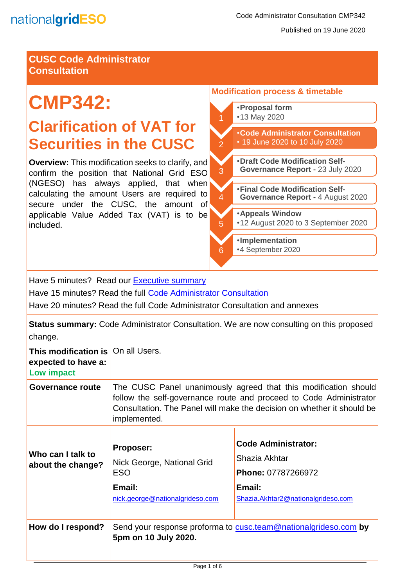

Published on 19 June 2020

# **CUSC Code Administrator Consultation**

# **CMP342:**

# **Clarification of VAT for Securities in the CUSC**

**Overview:** This modification seeks to clarify, and confirm the position that National Grid ESO (NGESO) has always applied, that when calculating the amount Users are required to secure under the CUSC, the amount of applicable Value Added Tax (VAT) is to be included.

# **Modification process & timetable**  •**Proposal form** •13 May 2020  $\overline{2}$ •**Code Administrator Consultation** • 19 June 2020 to 10 July 2020 3 •**Draft Code Modification Self-Governance Report -** 23 July 2020 4 •**Final Code Modification Self-Governance Report -** 4 August 2020

•**Appeals Window** •12 August 2020 to 3 September 2020

•**Implementation** •4 September 2020

Have 5 minutes? Read our **Executive summary** 

Have 15 minutes? Read the full [Code Administrator Consultation](#page-2-0)

Have 20 minutes? Read the full Code Administrator Consultation and annexes

**Status summary:** Code Administrator Consultation. We are now consulting on this proposed change.

5

6

| This modification is   On all Users.<br>expected to have a:<br>Low impact |                                                                                                                                                                                                                                 |                                                                                                                   |
|---------------------------------------------------------------------------|---------------------------------------------------------------------------------------------------------------------------------------------------------------------------------------------------------------------------------|-------------------------------------------------------------------------------------------------------------------|
| Governance route                                                          | The CUSC Panel unanimously agreed that this modification should<br>follow the self-governance route and proceed to Code Administrator<br>Consultation. The Panel will make the decision on whether it should be<br>implemented. |                                                                                                                   |
| Who can I talk to<br>about the change?                                    | <b>Proposer:</b><br>Nick George, National Grid<br><b>ESO</b><br>Email:<br>nick.george@nationalgrideso.com                                                                                                                       | <b>Code Administrator:</b><br>Shazia Akhtar<br>Phone: 07787266972<br>Email:<br>Shazia.Akhtar2@nationalgrideso.com |
| How do I respond?                                                         | Send your response proforma to cusc.team@nationalgrideso.com by<br>5pm on 10 July 2020.                                                                                                                                         |                                                                                                                   |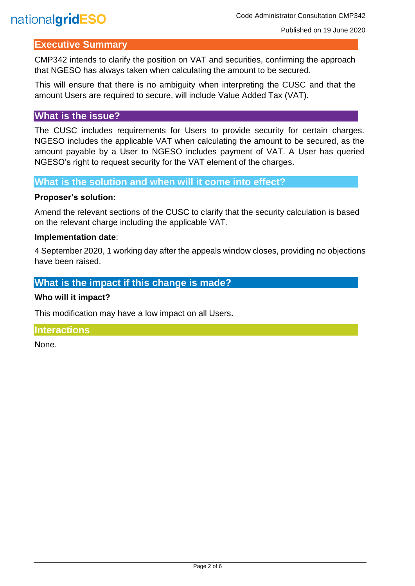# nationalgridESO

# <span id="page-1-0"></span>**Executive Summary**

CMP342 intends to clarify the position on VAT and securities, confirming the approach that NGESO has always taken when calculating the amount to be secured.

This will ensure that there is no ambiguity when interpreting the CUSC and that the amount Users are required to secure, will include Value Added Tax (VAT).

# **What is the issue?**

The CUSC includes requirements for Users to provide security for certain charges. NGESO includes the applicable VAT when calculating the amount to be secured, as the amount payable by a User to NGESO includes payment of VAT. A User has queried NGESO's right to request security for the VAT element of the charges.

**What is the solution and when will it come into effect?**

### **Proposer's solution:**

Amend the relevant sections of the CUSC to clarify that the security calculation is based on the relevant charge including the applicable VAT.

### **Implementation date**:

4 September 2020, 1 working day after the appeals window closes, providing no objections have been raised.

# **What is the impact if this change is made?**

#### **Who will it impact?**

This modification may have a low impact on all Users**.** 

# **Interactions**

None.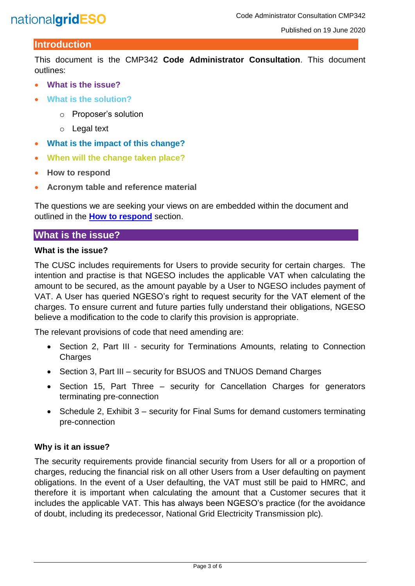# nationalgridESO

# <span id="page-2-0"></span>**Introduction**

This document is the CMP342 **Code Administrator Consultation**. This document outlines:

- **What is the issue?**
- **What is the solution?**
	- o Proposer's solution
	- o Legal text
- **What is the impact of this change?**
- **When will the change taken place?**
- **How to respond**
- **Acronym table and reference material**

The questions we are seeking your views on are embedded within the document and outlined in the **How to respond** section.

# **What is the issue?**

#### **What is the issue?**

The CUSC includes requirements for Users to provide security for certain charges. The intention and practise is that NGESO includes the applicable VAT when calculating the amount to be secured, as the amount payable by a User to NGESO includes payment of VAT. A User has queried NGESO's right to request security for the VAT element of the charges. To ensure current and future parties fully understand their obligations, NGESO believe a modification to the code to clarify this provision is appropriate.

The relevant provisions of code that need amending are:

- Section 2, Part III security for Terminations Amounts, relating to Connection **Charges**
- Section 3, Part III security for BSUOS and TNUOS Demand Charges
- Section 15, Part Three security for Cancellation Charges for generators terminating pre-connection
- Schedule 2, Exhibit 3 security for Final Sums for demand customers terminating pre-connection

# **Why is it an issue?**

The security requirements provide financial security from Users for all or a proportion of charges, reducing the financial risk on all other Users from a User defaulting on payment obligations. In the event of a User defaulting, the VAT must still be paid to HMRC, and therefore it is important when calculating the amount that a Customer secures that it includes the applicable VAT. This has always been NGESO's practice (for the avoidance of doubt, including its predecessor, National Grid Electricity Transmission plc).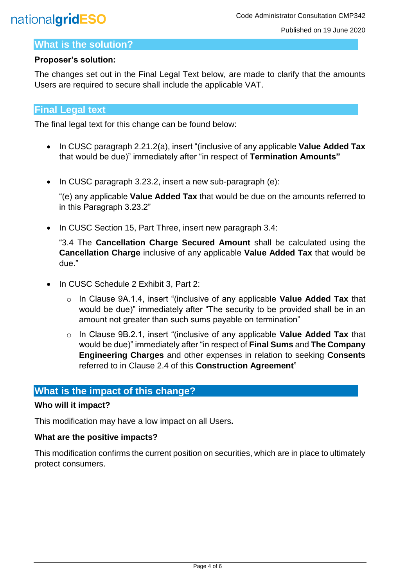# nationalgridESO

# **What is the solution?**

# **Proposer's solution:**

The changes set out in the Final Legal Text below, are made to clarify that the amounts Users are required to secure shall include the applicable VAT.

# **Final Legal text**

The final legal text for this change can be found below:

- In CUSC paragraph 2.21.2(a), insert "(inclusive of any applicable **Value Added Tax** that would be due)" immediately after "in respect of **Termination Amounts"**
- In CUSC paragraph 3.23.2, insert a new sub-paragraph (e):

"(e) any applicable **Value Added Tax** that would be due on the amounts referred to in this Paragraph 3.23.2"

• In CUSC Section 15, Part Three, insert new paragraph 3.4:

"3.4 The **Cancellation Charge Secured Amount** shall be calculated using the **Cancellation Charge** inclusive of any applicable **Value Added Tax** that would be due."

- In CUSC Schedule 2 Exhibit 3, Part 2:
	- o In Clause 9A.1.4, insert "(inclusive of any applicable **Value Added Tax** that would be due)" immediately after "The security to be provided shall be in an amount not greater than such sums payable on termination"
	- o In Clause 9B.2.1, insert "(inclusive of any applicable **Value Added Tax** that would be due)" immediately after "in respect of **Final Sums** and **The Company Engineering Charges** and other expenses in relation to seeking **Consents**  referred to in Clause 2.4 of this **Construction Agreement**"

# **What is the impact of this change?**

# **Who will it impact?**

This modification may have a low impact on all Users**.** 

# **What are the positive impacts?**

This modification confirms the current position on securities, which are in place to ultimately protect consumers.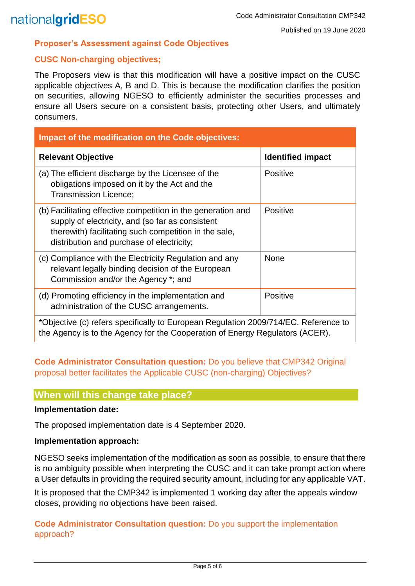#### **Proposer's Assessment against Code Objectives**

### **CUSC Non-charging objectives;**

The Proposers view is that this modification will have a positive impact on the CUSC applicable objectives A, B and D. This is because the modification clarifies the position on securities, allowing NGESO to efficiently administer the securities processes and ensure all Users secure on a consistent basis, protecting other Users, and ultimately consumers.

| <b>Impact of the modification on the Code objectives:</b>                                                                                                                                                              |                          |  |
|------------------------------------------------------------------------------------------------------------------------------------------------------------------------------------------------------------------------|--------------------------|--|
| <b>Relevant Objective</b>                                                                                                                                                                                              | <b>Identified impact</b> |  |
| (a) The efficient discharge by the Licensee of the<br>obligations imposed on it by the Act and the<br><b>Transmission Licence:</b>                                                                                     | <b>Positive</b>          |  |
| (b) Facilitating effective competition in the generation and<br>supply of electricity, and (so far as consistent<br>therewith) facilitating such competition in the sale,<br>distribution and purchase of electricity; | Positive                 |  |
| (c) Compliance with the Electricity Regulation and any<br>relevant legally binding decision of the European<br>Commission and/or the Agency *; and                                                                     | <b>None</b>              |  |
| (d) Promoting efficiency in the implementation and<br>administration of the CUSC arrangements.                                                                                                                         | Positive                 |  |
| *Objective (c) refers specifically to European Regulation 2009/714/EC. Reference to                                                                                                                                    |                          |  |

the Agency is to the Agency for the Cooperation of Energy Regulators (ACER).

**Code Administrator Consultation question:** Do you believe that CMP342 Original proposal better facilitates the Applicable CUSC (non-charging) Objectives?

# **When will this change take place?**

### **Implementation date:**

The proposed implementation date is 4 September 2020.

#### **Implementation approach:**

NGESO seeks implementation of the modification as soon as possible, to ensure that there is no ambiguity possible when interpreting the CUSC and it can take prompt action where a User defaults in providing the required security amount, including for any applicable VAT.

It is proposed that the CMP342 is implemented 1 working day after the appeals window closes, providing no objections have been raised.

**Code Administrator Consultation question:** Do you support the implementation approach?